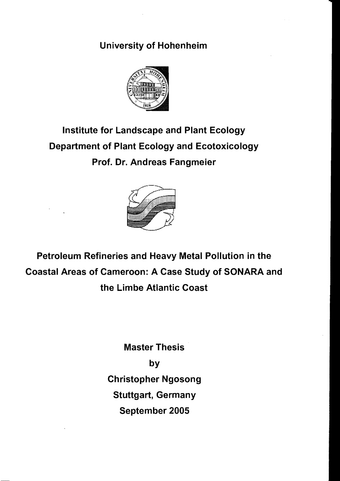## University of Hohenheim



## Institute for Landscape and Plant Ecology Department of Plant Ecology and Ecotoxicology Prof. Dr. Andreas Fangmeier



Petroleum Refineries and Heavy Metal Pollution in the Coastal Areas of Cameroon: A Case Study of SONARA and the Limbe Atlantic Coast

> Master Thesis by Christopher Ngosong Stuttgart, Germany September 2005